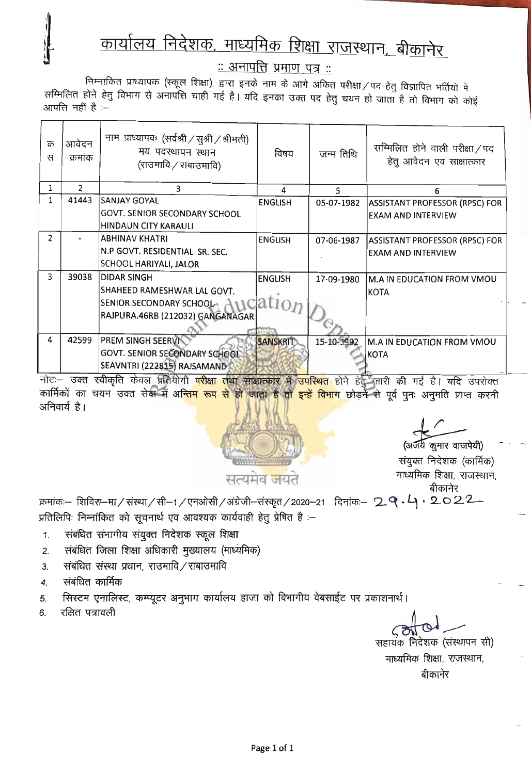## <u>कार्यालय निदेशक, माध्यमिक शिक्षा राजस्थान, बीकानेर</u>

<u> :: अनापत्ति प्रमाण पत्र ::</u>

निम्नांकित प्राध्यापक (स्कूल शिक्षा), द्वारा इनके नाम के आगे अंकित परीक्षा / पद हेतु विज्ञापित भर्तियों में सम्मिलित होने हेतु विभाग से अनापत्ति चाही गई है। यदि इनका उक्त पद हेतु चयन हो जाता है तो विभाग को कोई आपत्ति नहीं है :-

| क्र<br>स       | आवेदन<br>क्रमाक | नाम प्राध्यापक (सर्वश्री / सुश्री / श्रीमती)<br>मय पदस्थापन स्थान<br>(राउमावि ⁄ राबाउमावि) | विषय            | जन्म तिथि  | सम्मिलित होने वाली परीक्षा / पद<br>हेतु आवेदन एवं साक्षात्कार |
|----------------|-----------------|--------------------------------------------------------------------------------------------|-----------------|------------|---------------------------------------------------------------|
|                | $\mathfrak{p}$  | 3                                                                                          | Δ               | 5          | 6                                                             |
|                | 41443           | <b>SANJAY GOYAL</b>                                                                        | <b>ENGLISH</b>  | 05-07-1982 | <b>ASSISTANT PROFESSOR (RPSC) FOR</b>                         |
|                |                 | GOVT. SENIOR SECONDARY SCHOOL                                                              |                 |            | <b>EXAM AND INTERVIEW</b>                                     |
|                |                 | <b>HINDAUN CITY KARAULI</b>                                                                |                 |            |                                                               |
| $\overline{2}$ |                 | <b>ABHINAV KHATRI</b>                                                                      | <b>ENGLISH</b>  | 07-06-1987 | ASSISTANT PROFESSOR (RPSC) FOR                                |
|                |                 | N.P GOVT. RESIDENTIAL SR. SEC.                                                             |                 |            | <b>EXAM AND INTERVIEW</b>                                     |
|                |                 | SCHOOL HARIYALI, JALOR                                                                     |                 |            |                                                               |
| 3              | 39038           | <b>DIDAR SINGH</b>                                                                         | <b>ENGLISH</b>  | 17-09-1980 | M.A IN EDUCATION FROM VMOU                                    |
|                |                 | SHAHEED RAMESHWAR LAL GOVT.                                                                |                 |            | <b>KOTA</b>                                                   |
|                |                 | SENIOR SECONDARY SCHOOL ATT                                                                | ation           |            |                                                               |
|                |                 | RAJPURA.46RB (212032) GANGANAGAR                                                           |                 |            |                                                               |
|                |                 |                                                                                            |                 |            |                                                               |
| 4              | 42599           | PREM SINGH SEERVI                                                                          | <b>SANSKRIT</b> | 15-10-1992 | M.A IN EDUCATION FROM VMOU                                    |
|                |                 | GOVT. SENIOR SECONDARY SCHOOL                                                              |                 |            | <b>KOTA</b>                                                   |
|                |                 | SEAVNTRI (222815) RAJSAMAND                                                                |                 |            |                                                               |

नोट:- उक्त स्वीकृति केवल प्रतियोगी <mark>परीक्षा तथा साक्षात्कार में उपस्थित</mark> होने हेतु जारी की गई है। यदि उपरोक्त कार्मिकों का चयन उक्त सेक्ष में अन्तिम रूप से हो जाता है तो इन्हें विभाग छोड़ने से पूर्व पुनः अनुमति प्राप्त करनी अनिवार्य है।



(अर्जय कुमार वाजपेयी)

संयुक्त निदेशक (कार्मिक) माध्यमिक शिक्षा, राजस्थान, बीकानेर

क्रमांकः– शिविरा–मा/संस्था/सी–1/एनओसी/अंग्रेजी–संस्कृत/2020–21 दिनांकः– 2 ष्  $\cdot$ 4  $\cdot$  2 O 2 2 प्रतिलिपिः निम्नांकित को सूचनार्थ एवं आवश्यक कार्यवाही हेतु प्रेषित है :-

- संबंधित संभागीय संयुक्त निदेशक स्कूल शिक्षा 1.
- संबंधित जिला शिक्षा अधिकारी मुख्यालय (माध्यमिक)  $2.$
- संबंधित संस्था प्रधान, राउमावि / राबाउमावि  $3.$
- संबंधित कार्मिक 4.
- सिस्टम एनालिस्ट, कम्प्यूटर अनुभाग कार्यालय हाजा को विभागीय वेबसाईट पर प्रकाशनार्थ। 5.
- रक्षित पत्रावली 6.

सहायक निदेशक (संस्थापन सी) माध्यमिक शिक्षा, राजस्थान,

बीकानेर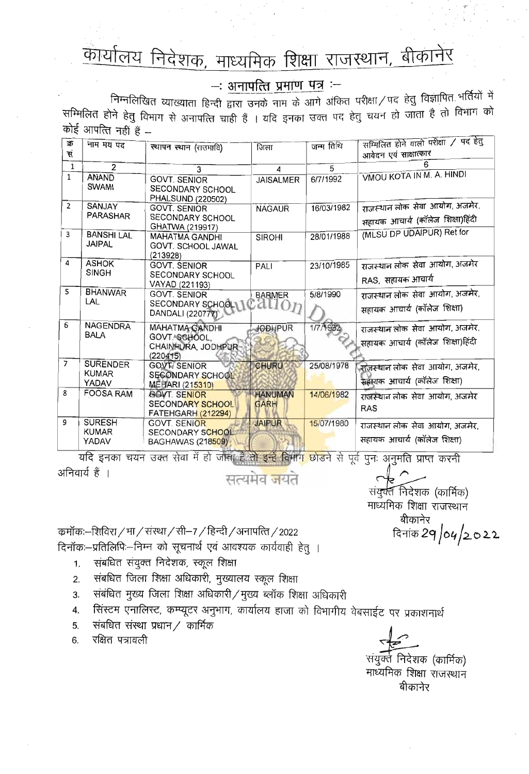## कार्यालय निदेशक, माध्यमिक शिक्षा राजस्थान, बीकानेर

## $-$ : अनापत्ति प्रमाण पत्र  $-$

निम्नलिखित व्याख्याता हिन्दी द्वारा उनके नाम के आगे अंकित परीक्षा / पद हेतु विज्ञापित भर्तियों में सम्मिलित होने हेतु विभाग से अनापत्ति चाही हैं । यदि इनका उक्त पद हेतु चयन हो जाता है तो विभाग को कोई आपत्ति नहीं हैं -

| क्र<br>सं      | नाम मय पद                                | स्थापन स्थान (राउमावि)                                                                        | जिला                          | जन्म तिथि  | सम्मिलित होने वाली परीक्षा / पद हेतु<br>आयेदन एवं साक्षात्कार      |
|----------------|------------------------------------------|-----------------------------------------------------------------------------------------------|-------------------------------|------------|--------------------------------------------------------------------|
| $\mathbf{1}$   | $\overline{2}$                           | 3                                                                                             | 4                             | 5          |                                                                    |
| $\mathbf{1}$   | <b>ANAND</b><br><b>SWAMI</b>             | <b>GOVT. SENIOR</b><br>SECONDARY SCHOOL<br><b>PHALSUND (220502)</b>                           | <b>JAISALMER</b>              | 6/7/1992   | VMOU KOTA IN M. A. HINDI                                           |
| $\overline{2}$ | SANJAY<br><b>PARASHAR</b>                | <b>GOVT. SENIOR</b><br>SECONDARY SCHOOL<br>GHATWA (219917)                                    | <b>NAGAUR</b>                 | 16/03/1982 | राजस्थान लोक सेवा आयोग, अजमेर,<br>सहायक आचार्य (कॉलेज शिक्षा)हिंदी |
| 3              | <b>BANSHI LAL</b><br><b>JAIPAL</b>       | <b>MAHATMA GANDHI</b><br><b>GOVT. SCHOOL JAWAL</b><br>(213928)                                | <b>SIROHI</b>                 | 28/01/1988 | (MLSU DP UDAIPUR) Ret for                                          |
| 4              | <b>ASHOK</b><br><b>SINGH</b>             | <b>GOVT SENIOR</b><br>SECONDARY SCHOOL<br>VAYAD (221193)                                      | PALI                          | 23/10/1985 | राजस्थान लोक सेवा आयोग, अजमेर<br>RAS,  सहायक आचार्य                |
| 5              | <b>BHANWAR</b><br>LAL                    | <b>GOVT. SENIOR</b><br>SECONDARY SCHOOL CALLON<br>DANDALI (220777)                            | <b>BARMER</b>                 | 5/8/1990   | राजस्थान लोक सेवा आयोग, अजमेर,<br>सहायक आचार्य (कॉलेज शिक्षा)      |
| 6              | <b>NAGENDRA</b><br><b>BALA</b>           | <b>MAHATMA GANDHI</b><br>GOVT SCHOOL.<br>CHAINPURA, JODHPUR<br>(220415)                       | JODHPUR                       | 1/7/1982   | राजस्थान लोक सेवा आयोग, अजमेर,<br>सहायक आचार्य (कॉलेज शिक्षा)हिंदी |
| $\overline{7}$ | <b>SURENDER</b><br><b>KUMAR</b><br>YADAV | <b>GOVT, SENIOR</b><br><b>SECONDARY SCHOOL</b><br>MEHARI (215310)                             | <b>CHURU</b>                  | 25/08/1978 | नजस्थान लोक सेवा आयोग, अजमेर,<br>सहायक आचार्य (कॉलेज शिक्षा)       |
| 8              | <b>FOOSA RAM</b>                         | <b>GOVT. SENIOR</b><br><b>SECONDARY SCHOOL</b><br><b>FATEHGARH (212294)</b>                   | <b>HANUMAN</b><br><b>GARH</b> | 14/06/1982 | राजस्थान लोक सेवा आयोग, अजमेर<br><b>RAS</b>                        |
| 9              | <b>SURESH</b><br><b>KUMAR</b><br>YADAV   | <b>GOVT. SENIOR</b><br><b>SECONDARY SCHOOL</b><br><b>BAGHAWAS (218509)</b>                    | <b>JAIPUR</b>                 | 15/07/1980 | राजस्थान लोक सेवा आयोग अजमेर,<br>सहायक आचार्य (कॉलेज शिक्षा)       |
|                |                                          | यदि इनका चयन उक्त सेवा में हो जाता है तो इन्हें विभाग छोड़ने से पूर्व पनः अनुमति प्राप्त करनी |                               |            |                                                                    |

अनिवार्य हैं ।

सत्यमेव <del>ज</del>यते

संयुर्वत निदेशक (कार्मिक) माध्यमिक शिक्षा राजस्थान बीकानेर दिनांक 2**9 /04/2022** 

कमॉकः–शिविरा / मा / संस्था / सी–7 / हिन्दी / अनापत्ति / 2022 दिनॉक:-प्रतिलिपि:-निम्न को सूचनार्थ एवं आवश्यक कार्यवाही हेतु ।

- संबधित संयुक्त निदेशक, स्कूल शिक्षा  $1<sub>1</sub>$
- संबधित जिला शिक्षा अधिकारी, मुख्यालय स्कूल शिक्षा  $2.$
- संबंधित मुख्य जिला शिक्षा अधिकारी / मुख्य ब्लॉक शिक्षा अधिकारी  $3<sub>1</sub>$
- सिंस्टम एनालिस्ट, कम्प्यूटर अनुभाग, कार्यालय हाजा को विभागीय वेबसाईट पर प्रकाशनार्थ  $\overline{4}$ .
- संबधित संस्था प्रधान / कार्मिक 5.
- रक्षित पत्रावली 6.

संयुक्ते निदेशक (कार्मिक)

माध्यमिक शिक्षा राजस्थान बीकानेर